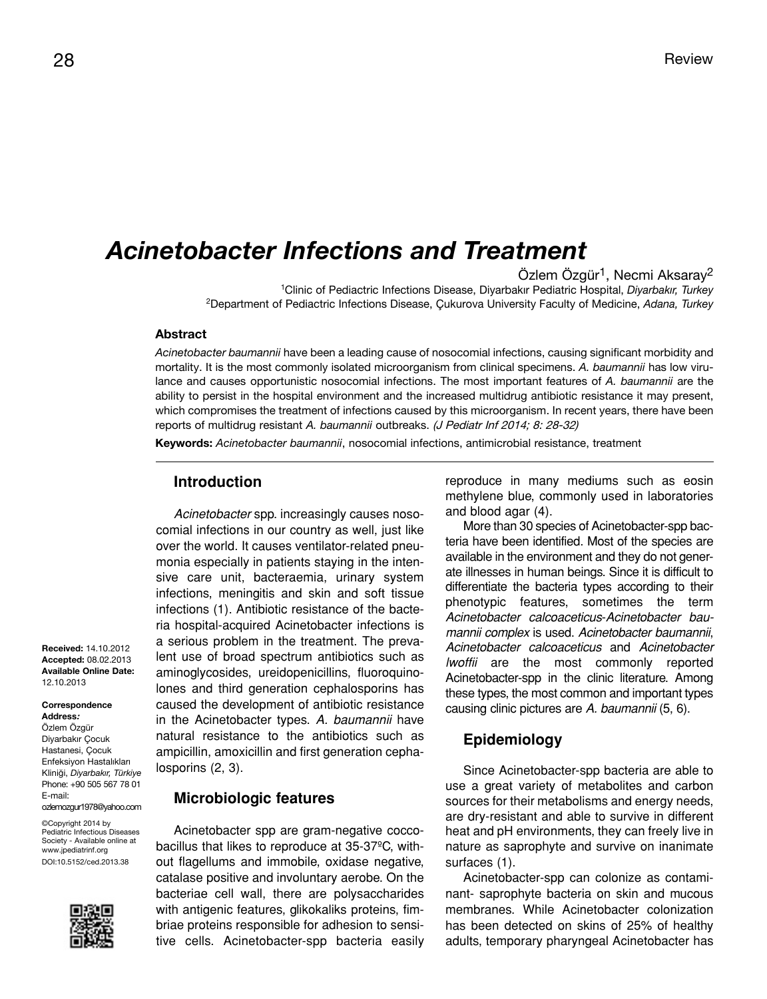# *Acinetobacter Infections and Treatment*

Özlem Özgür<sup>1</sup>, Necmi Aksaray<sup>2</sup>

<sup>1</sup>Clinic of Pediactric Infections Disease, Diyarbakır Pediatric Hospital, *Diyarbakır, Turkey* <sup>2</sup>Department of Pediactric Infections Disease, Çukurova University Faculty of Medicine, *Adana, Turkey*

#### **Abstract**

*Acinetobacter baumannii* have been a leading cause of nosocomial infections, causing significant morbidity and mortality. It is the most commonly isolated microorganism from clinical specimens. *A. baumannii* has low virulance and causes opportunistic nosocomial infections. The most important features of *A. baumannii* are the ability to persist in the hospital environment and the increased multidrug antibiotic resistance it may present, which compromises the treatment of infections caused by this microorganism. In recent years, there have been reports of multidrug resistant *A. baumannii* outbreaks. (J Pediatr Inf 2014; 8: 28-32)

**Keywords:** *Acinetobacter baumannii*, nosocomial infections, antimicrobial resistance, treatment

# **Introduction**

*Acinetobacter* spp. increasingly causes nosocomial infections in our country as well, just like over the world. It causes ventilator-related pneumonia especially in patients staying in the intensive care unit, bacteraemia, urinary system infections, meningitis and skin and soft tissue infections (1). Antibiotic resistance of the bacteria hospital-acquired Acinetobacter infections is a serious problem in the treatment. The prevalent use of broad spectrum antibiotics such as aminoglycosides, ureidopenicillins, fluoroquinolones and third generation cephalosporins has caused the development of antibiotic resistance in the Acinetobacter types. *A. baumannii* have natural resistance to the antibiotics such as ampicillin, amoxicillin and first generation cephalosporins (2, 3).

#### **Microbiologic features**

Acinetobacter spp are gram-negative coccobacillus that likes to reproduce at 35-37ºC, without flagellums and immobile, oxidase negative, catalase positive and involuntary aerobe. On the bacteriae cell wall, there are polysaccharides with antigenic features, glikokaliks proteins, fimbriae proteins responsible for adhesion to sensitive cells. Acinetobacter-spp bacteria easily reproduce in many mediums such as eosin methylene blue, commonly used in laboratories and blood agar (4).

More than 30 species of Acinetobacter-spp bacteria have been identified. Most of the species are available in the environment and they do not generate illnesses in human beings. Since it is difficult to differentiate the bacteria types according to their phenotypic features, sometimes the term *Acinetobacter calcoaceticus*-*Acinetobacter baumannii complex* is used. *Acinetobacter baumannii*, *Acinetobacter calcoaceticus* and *Acinetobacter lwoffii* are the most commonly reported Acinetobacter-spp in the clinic literature. Among these types, the most common and important types causing clinic pictures are *A. baumannii* (5, 6).

#### **Epidemiology**

Since Acinetobacter-spp bacteria are able to use a great variety of metabolites and carbon sources for their metabolisms and energy needs, are dry-resistant and able to survive in different heat and pH environments, they can freely live in nature as saprophyte and survive on inanimate surfaces (1).

Acinetobacter-spp can colonize as contaminant- saprophyte bacteria on skin and mucous membranes. While Acinetobacter colonization has been detected on skins of 25% of healthy adults, temporary pharyngeal Acinetobacter has

**Received:** 14.10.2012 **Accepted:** 08.02.2013 **Available Online Date:**  12.10.2013

#### **Correspondence Address:**

Özlem Özgür Diyarbakır Çocuk Hastanesi, Çocuk Enfeksiyon Hastalıkları Kliniği, *Diyarbakır, Türkiye* Phone: +90 505 567 78 01 E-mail: ozlemozgur1978@yahoo.com

©Copyright 2014 by Pediatric Infectious Diseases Society - Available online at www.jpediatrinf.org DOI:10.5152/ced.2013.38

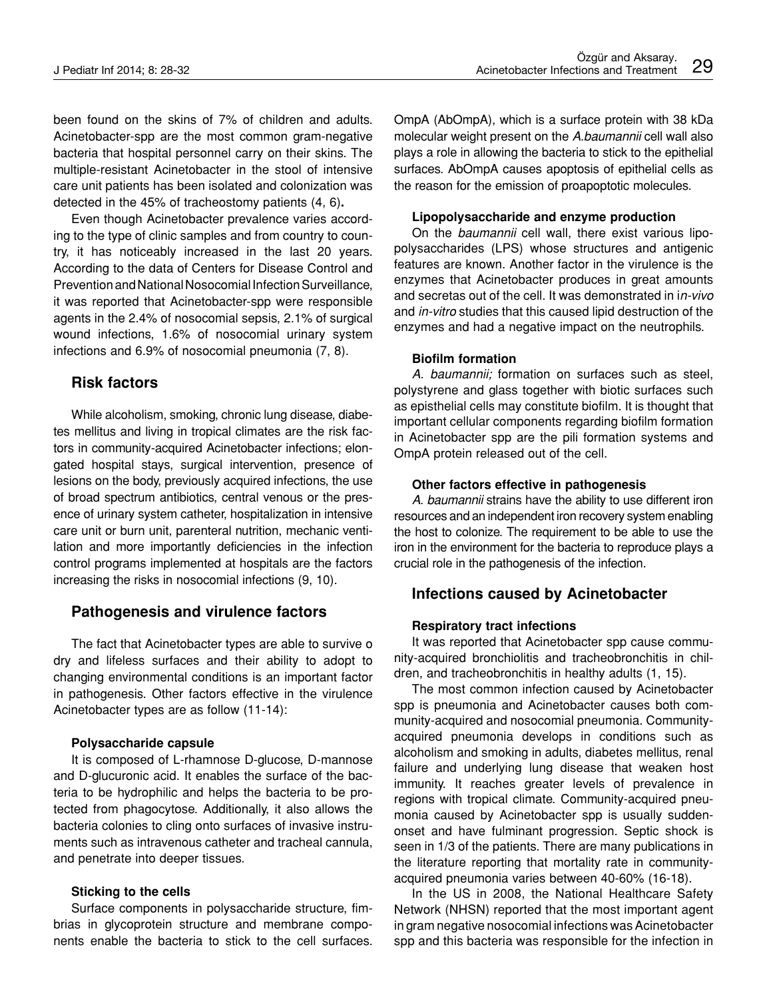been found on the skins of 7% of children and adults. Acinetobacter-spp are the most common gram-negative bacteria that hospital personnel carry on their skins. The multiple-resistant Acinetobacter in the stool of intensive care unit patients has been isolated and colonization was detected in the 45% of tracheostomy patients (4, 6)**.**

Even though Acinetobacter prevalence varies according to the type of clinic samples and from country to country, it has noticeably increased in the last 20 years. According to the data of Centers for Disease Control and Prevention and National Nosocomial Infection Surveillance, it was reported that Acinetobacter-spp were responsible agents in the 2.4% of nosocomial sepsis, 2.1% of surgical wound infections, 1.6% of nosocomial urinary system infections and 6.9% of nosocomial pneumonia (7, 8).

# **Risk factors**

While alcoholism, smoking, chronic lung disease, diabetes mellitus and living in tropical climates are the risk factors in community-acquired Acinetobacter infections; elongated hospital stays, surgical intervention, presence of lesions on the body, previously acquired infections, the use of broad spectrum antibiotics, central venous or the presence of urinary system catheter, hospitalization in intensive care unit or burn unit, parenteral nutrition, mechanic ventilation and more importantly deficiencies in the infection control programs implemented at hospitals are the factors increasing the risks in nosocomial infections (9, 10).

### **Pathogenesis and virulence factors**

The fact that Acinetobacter types are able to survive o dry and lifeless surfaces and their ability to adopt to changing environmental conditions is an important factor in pathogenesis. Other factors effective in the virulence Acinetobacter types are as follow (11-14):

#### **Polysaccharide capsule**

It is composed of L-rhamnose D-glucose, D-mannose and D-glucuronic acid. It enables the surface of the bacteria to be hydrophilic and helps the bacteria to be protected from phagocytose. Additionally, it also allows the bacteria colonies to cling onto surfaces of invasive instruments such as intravenous catheter and tracheal cannula, and penetrate into deeper tissues.

#### **Sticking to the cells**

Surface components in polysaccharide structure, fimbrias in glycoprotein structure and membrane components enable the bacteria to stick to the cell surfaces. OmpA (AbOmpA), which is a surface protein with 38 kDa molecular weight present on the *A.baumannii* cell wall also plays a role in allowing the bacteria to stick to the epithelial surfaces. AbOmpA causes apoptosis of epithelial cells as the reason for the emission of proapoptotic molecules.

#### **Lipopolysaccharide and enzyme production**

On the *baumannii* cell wall, there exist various lipopolysaccharides (LPS) whose structures and antigenic features are known. Another factor in the virulence is the enzymes that Acinetobacter produces in great amounts and secretas out of the cell. It was demonstrated in i*n-vivo* and *in-vitro* studies that this caused lipid destruction of the enzymes and had a negative impact on the neutrophils.

#### **Biofilm formation**

*A. baumannii;* formation on surfaces such as steel, polystyrene and glass together with biotic surfaces such as episthelial cells may constitute biofilm. It is thought that important cellular components regarding biofilm formation in Acinetobacter spp are the pili formation systems and OmpA protein released out of the cell.

#### **Other factors effective in pathogenesis**

*A. baumannii* strains have the ability to use different iron resources and an independent iron recovery system enabling the host to colonize. The requirement to be able to use the iron in the environment for the bacteria to reproduce plays a crucial role in the pathogenesis of the infection.

# **Infections caused by Acinetobacter**

#### **Respiratory tract infections**

It was reported that Acinetobacter spp cause community-acquired bronchiolitis and tracheobronchitis in children, and tracheobronchitis in healthy adults (1, 15).

The most common infection caused by Acinetobacter spp is pneumonia and Acinetobacter causes both community-acquired and nosocomial pneumonia. Communityacquired pneumonia develops in conditions such as alcoholism and smoking in adults, diabetes mellitus, renal failure and underlying lung disease that weaken host immunity. It reaches greater levels of prevalence in regions with tropical climate. Community-acquired pneumonia caused by Acinetobacter spp is usually suddenonset and have fulminant progression. Septic shock is seen in 1/3 of the patients. There are many publications in the literature reporting that mortality rate in communityacquired pneumonia varies between 40-60% (16-18).

In the US in 2008, the National Healthcare Safety Network (NHSN) reported that the most important agent in gram negative nosocomial infections was Acinetobacter spp and this bacteria was responsible for the infection in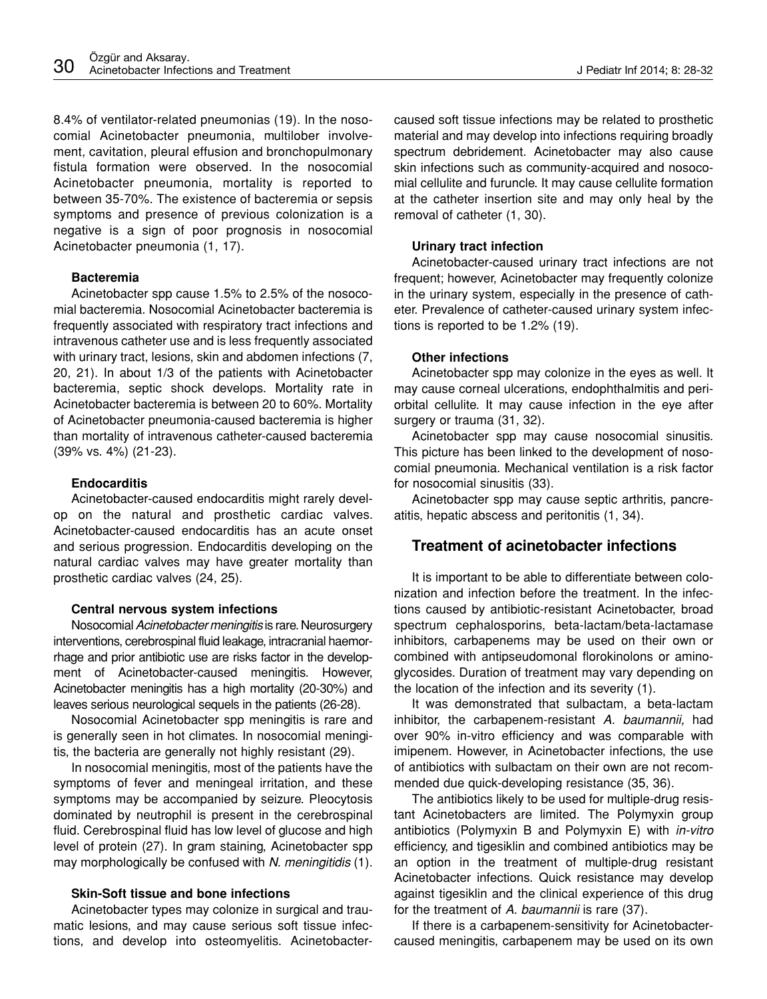8.4% of ventilator-related pneumonias (19). In the nosocomial Acinetobacter pneumonia, multilober involvement, cavitation, pleural effusion and bronchopulmonary fistula formation were observed. In the nosocomial Acinetobacter pneumonia, mortality is reported to between 35-70%. The existence of bacteremia or sepsis symptoms and presence of previous colonization is a negative is a sign of poor prognosis in nosocomial Acinetobacter pneumonia (1, 17).

#### **Bacteremia**

Acinetobacter spp cause 1.5% to 2.5% of the nosocomial bacteremia. Nosocomial Acinetobacter bacteremia is frequently associated with respiratory tract infections and intravenous catheter use and is less frequently associated with urinary tract, lesions, skin and abdomen infections (7, 20, 21). In about 1/3 of the patients with Acinetobacter bacteremia, septic shock develops. Mortality rate in Acinetobacter bacteremia is between 20 to 60%. Mortality of Acinetobacter pneumonia-caused bacteremia is higher than mortality of intravenous catheter-caused bacteremia (39% vs. 4%) (21-23).

#### **Endocarditis**

Acinetobacter-caused endocarditis might rarely develop on the natural and prosthetic cardiac valves. Acinetobacter-caused endocarditis has an acute onset and serious progression. Endocarditis developing on the natural cardiac valves may have greater mortality than prosthetic cardiac valves (24, 25).

### **Central nervous system infections**

Nosocomial *Acinetobacter meningitis* is rare. Neurosurgery interventions, cerebrospinal fluid leakage, intracranial haemorrhage and prior antibiotic use are risks factor in the development of Acinetobacter-caused meningitis. However, Acinetobacter meningitis has a high mortality (20-30%) and leaves serious neurological sequels in the patients (26-28).

Nosocomial Acinetobacter spp meningitis is rare and is generally seen in hot climates. In nosocomial meningitis, the bacteria are generally not highly resistant (29).

In nosocomial meningitis, most of the patients have the symptoms of fever and meningeal irritation, and these symptoms may be accompanied by seizure. Pleocytosis dominated by neutrophil is present in the cerebrospinal fluid. Cerebrospinal fluid has low level of glucose and high level of protein (27). In gram staining, Acinetobacter spp may morphologically be confused with *N. meningitidis* (1).

### **Skin-Soft tissue and bone infections**

Acinetobacter types may colonize in surgical and traumatic lesions, and may cause serious soft tissue infections, and develop into osteomyelitis. Acinetobactercaused soft tissue infections may be related to prosthetic material and may develop into infections requiring broadly spectrum debridement. Acinetobacter may also cause skin infections such as community-acquired and nosocomial cellulite and furuncle. It may cause cellulite formation at the catheter insertion site and may only heal by the removal of catheter (1, 30).

### **Urinary tract infection**

Acinetobacter-caused urinary tract infections are not frequent; however, Acinetobacter may frequently colonize in the urinary system, especially in the presence of catheter. Prevalence of catheter-caused urinary system infections is reported to be 1.2% (19).

#### **Other infections**

Acinetobacter spp may colonize in the eyes as well. It may cause corneal ulcerations, endophthalmitis and periorbital cellulite. It may cause infection in the eye after surgery or trauma (31, 32).

Acinetobacter spp may cause nosocomial sinusitis. This picture has been linked to the development of nosocomial pneumonia. Mechanical ventilation is a risk factor for nosocomial sinusitis (33).

Acinetobacter spp may cause septic arthritis, pancreatitis, hepatic abscess and peritonitis (1, 34).

# **Treatment of acinetobacter infections**

It is important to be able to differentiate between colonization and infection before the treatment. In the infections caused by antibiotic-resistant Acinetobacter, broad spectrum cephalosporins, beta-lactam/beta-lactamase inhibitors, carbapenems may be used on their own or combined with antipseudomonal florokinolons or aminoglycosides. Duration of treatment may vary depending on the location of the infection and its severity (1).

It was demonstrated that sulbactam, a beta-lactam inhibitor, the carbapenem-resistant *A. baumannii,* had over 90% in-vitro efficiency and was comparable with imipenem. However, in Acinetobacter infections, the use of antibiotics with sulbactam on their own are not recommended due quick-developing resistance (35, 36).

The antibiotics likely to be used for multiple-drug resistant Acinetobacters are limited. The Polymyxin group antibiotics (Polymyxin B and Polymyxin E) with *in-vitro* efficiency, and tigesiklin and combined antibiotics may be an option in the treatment of multiple-drug resistant Acinetobacter infections. Quick resistance may develop against tigesiklin and the clinical experience of this drug for the treatment of *A. baumannii* is rare (37).

If there is a carbapenem-sensitivity for Acinetobactercaused meningitis, carbapenem may be used on its own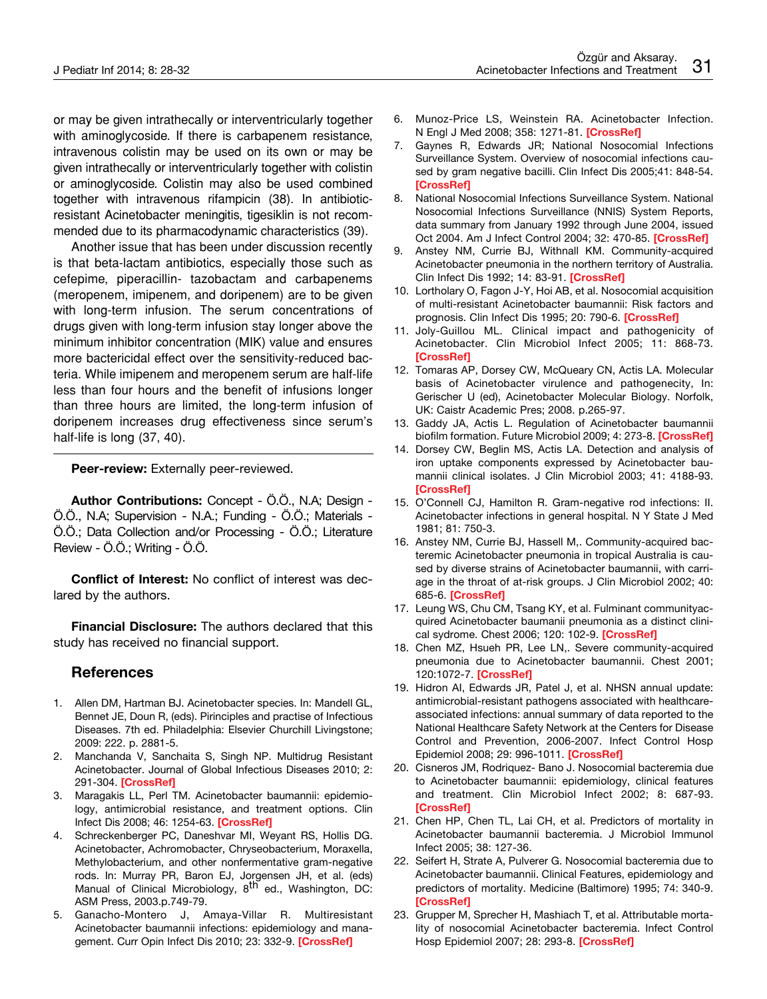or may be given intrathecally or interventricularly together with aminoglycoside. If there is carbapenem resistance, intravenous colistin may be used on its own or may be given intrathecally or interventricularly together with colistin or aminoglycoside. Colistin may also be used combined together with intravenous rifampicin (38). In antibioticresistant Acinetobacter meningitis, tigesiklin is not recommended due to its pharmacodynamic characteristics (39).

Another issue that has been under discussion recently is that beta-lactam antibiotics, especially those such as cefepime, piperacillin- tazobactam and carbapenems (meropenem, imipenem, and doripenem) are to be given with long-term infusion. The serum concentrations of drugs given with long-term infusion stay longer above the minimum inhibitor concentration (MIK) value and ensures more bactericidal effect over the sensitivity-reduced bacteria. While imipenem and meropenem serum are half-life less than four hours and the benefit of infusions longer than three hours are limited, the long-term infusion of doripenem increases drug effectiveness since serum's half-life is long (37, 40).

**Peer-review:** Externally peer-reviewed.

**Author Contributions:** Concept - Ö.Ö., N.A; Design - Ö.Ö., N.A; Supervision - N.A.; Funding - Ö.Ö.; Materials - Ö.Ö.; Data Collection and/or Processing - Ö.Ö.; Literature Review - Ö.Ö.; Writing - Ö.Ö.

**Conflict of Interest:** No conflict of interest was declared by the authors.

**Financial Disclosure:** The authors declared that this study has received no financial support.

## **References**

- 1. Allen DM, Hartman BJ. Acinetobacter species. In: Mandell GL, Bennet JE, Doun R, (eds). Pirinciples and practise of Infectious Diseases. 7th ed. Philadelphia: Elsevier Churchill Livingstone; 2009: 222. p. 2881-5.
- 2. Manchanda V, Sanchaita S, Singh NP. Multidrug Resistant Acinetobacter. Journal of Global Infectious Diseases 2010; 2: 291-304. **[[CrossRef\]](http://dx.doi.org/10.4103/0974-777X.68538)**
- 3. Maragakis LL, Perl TM. Acinetobacter baumannii: epidemiology, antimicrobial resistance, and treatment options. Clin Infect Dis 2008; 46: 1254-63. **[[CrossRef\]](http://dx.doi.org/10.1086/529198)**
- 4. Schreckenberger PC, Daneshvar MI, Weyant RS, Hollis DG. Acinetobacter, Achromobacter, Chryseobacterium, Moraxella, Methylobacterium, and other nonfermentative gram-negative rods. In: Murray PR, Baron EJ, Jorgensen JH, et al. (eds) Manual of Clinical Microbiology, 8<sup>th</sup> ed., Washington, DC: ASM Press, 2003.p.749-79.
- 5. Ganacho-Montero J, Amaya-Villar R. Multiresistant Acinetobacter baumannii infections: epidemiology and management. Curr Opin Infect Dis 2010; 23: 332-9. **[[CrossRef\]](http://dx.doi.org/10.1097/QCO.0b013e32833ae38b)**
- 6. Munoz-Price LS, Weinstein RA. Acinetobacter Infection. N Engl J Med 2008; 358: 1271-81. **[[CrossRef\]](http://dx.doi.org/10.1056/NEJMra070741)**
- 7. Gaynes R, Edwards JR; National Nosocomial Infections Surveillance System. Overview of nosocomial infections caused by gram negative bacilli. Clin Infect Dis 2005;41: 848-54. **[\[CrossRef](http://dx.doi.org/10.1086/432803)]**
- 8. National Nosocomial Infections Surveillance System. National Nosocomial Infections Surveillance (NNIS) System Reports, data summary from January 1992 through June 2004, issued Oct 2004. Am J Infect Control 2004; 32: 470-85. **[\[CrossRef](http://dx.doi.org/10.1016/j.ajic.2004.10.001)]**
- 9. Anstey NM, Currie BJ, Withnall KM. Community-acquired Acinetobacter pneumonia in the northern territory of Australia. Clin Infect Dis 1992; 14: 83-91. **[[CrossRef\]](http://dx.doi.org/10.1093/clinids/14.1.83)**
- 10. Lortholary O, Fagon J-Y, Hoi AB, et al. Nosocomial acquisition of multi-resistant Acinetobacter baumannii: Risk factors and prognosis. Clin Infect Dis 1995; 20: 790-6. **[[CrossRef\]](http://dx.doi.org/10.1093/clinids/20.4.790)**
- 11. Joly-Guillou ML. Clinical impact and pathogenicity of Acinetobacter. Clin Microbiol Infect 2005; 11: 868-73. **[\[CrossRef](http://dx.doi.org/10.1111/j.1469-0691.2005.01227.x)]**
- 12. Tomaras AP, Dorsey CW, McQueary CN, Actis LA. Molecular basis of Acinetobacter virulence and pathogenecity, In: Gerischer U (ed), Acinetobacter Molecular Biology. Norfolk, UK: Caistr Academic Pres; 2008. p.265-97.
- 13. Gaddy JA, Actis L. Regulation of Acinetobacter baumannii biofilm formation. Future Microbiol 2009; 4: 273-8. **[[CrossRef](http://dx.doi.org/10.2217/fmb.09.5)]**
- 14. Dorsey CW, Beglin MS, Actis LA. Detection and analysis of iron uptake components expressed by Acinetobacter baumannii clinical isolates. J Clin Microbiol 2003; 41: 4188-93. **[\[CrossRef](http://dx.doi.org/10.1128/JCM.41.9.4188-4193.2003)]**
- 15. O'Connell CJ, Hamilton R. Gram-negative rod infections: II. Acinetobacter infections in general hospital. N Y State J Med 1981; 81: 750-3.
- 16. Anstey NM, Currie BJ, Hassell M,. Community-acquired bacteremic Acinetobacter pneumonia in tropical Australia is caused by diverse strains of Acinetobacter baumannii, with carriage in the throat of at-risk groups. J Clin Microbiol 2002; 40: 685-6. **[[CrossRef\]](http://dx.doi.org/10.1128/JCM.40.2.685-686.2002)**
- 17. Leung WS, Chu CM, Tsang KY, et al. Fulminant communityacquired Acinetobacter baumanii pneumonia as a distinct clinical sydrome. Chest 2006; 120: 102-9. **[\[CrossRef\]](http://dx.doi.org/10.1378/chest.129.1.102)**
- 18. Chen MZ, Hsueh PR, Lee LN,. Severe community-acquired pneumonia due to Acinetobacter baumannii. Chest 2001; 120:1072-7. **[\[CrossRef](http://dx.doi.org/10.1378/chest.120.4.1072)]**
- 19. Hidron AI, Edwards JR, Patel J, et al. NHSN annual update: antimicrobial-resistant pathogens associated with healthcareassociated infections: annual summary of data reported to the National Healthcare Safety Network at the Centers for Disease Control and Prevention, 2006-2007. Infect Control Hosp Epidemiol 2008; 29: 996-1011. **[\[CrossRef](http://dx.doi.org/10.1086/591861)]**
- 20. Cisneros JM, Rodriquez- Bano J. Nosocomial bacteremia due to Acinetobacter baumannii: epidemiology, clinical features and treatment. Clin Microbiol Infect 2002; 8: 687-93. **[\[CrossRef](http://dx.doi.org/10.1046/j.1469-0691.2002.00487.x)]**
- 21. Chen HP, Chen TL, Lai CH, et al. Predictors of mortality in Acinetobacter baumannii bacteremia. J Microbiol Immunol Infect 2005; 38: 127-36.
- 22. Seifert H, Strate A, Pulverer G. Nosocomial bacteremia due to Acinetobacter baumannii. Clinical Features, epidemiology and predictors of mortality. Medicine (Baltimore) 1995; 74: 340-9. **[\[CrossRef](http://dx.doi.org/10.1097/00005792-199511000-00004)]**
- 23. Grupper M, Sprecher H, Mashiach T, et al. Attributable mortality of nosocomial Acinetobacter bacteremia. Infect Control Hosp Epidemiol 2007; 28: 293-8. **[\[CrossRef](http://dx.doi.org/10.1086/512629)]**